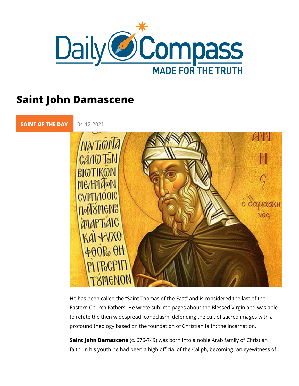## Saint John Damascene

[SAINT OF TH](https://newdailycompass.com/en/santi-del-giorno)E 04-12-2021

He has been called the Saint Thomas of the East and is cons Eastern Church Fathers. He wrote sublime pages about the Ble to refute the then widespread iconoclasm, defending the cult o profound theology based on the foundation of Christian faith:

Saint John Damascen6e 6-749) was born into a noble Arab famil faith. In his youth he had been a high official of the Caliph, b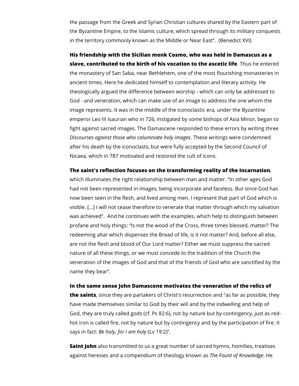the passage from the Greek and Syrian Christian cultures shared by the Eastern part of the Byzantine Empire, to the Islamic culture, which spread through its military conquests in the territory commonly known as the Middle or Near East". (Benedict XVI).

**His friendship with the Sicilian monk Cosmo, who was held in Damascus as a slave, contributed to the birth of his vocation to the ascetic life**. Thus he entered the monastery of San Saba, near Bethlehem, one of the most flourishing monasteries in ancient times. Here he dedicated himself to contemplation and literary activity. He theologically argued the difference between worship - which can only be addressed to God - and veneration, which can make use of an image to address the one whom the image represents. It was in the middle of the iconoclastic era, under the Byzantine emperor Leo III Isaurian who in 726, instigated by some bishops of Asia Minor, began to fight against sacred images. The Damascene responded to these errors by writing three *Discourses against those who calumniate holy images*. These writings were condemned after his death by the iconoclasts, but were fully accepted by the Second Council of Nicaea, which in 787 motivated and restored the cult of icons.

**The saint's reflection focuses on the transforming reality of the Incarnation**,

which illuminates the right relationship between man and matter. "In other ages God had not been represented in images, being incorporate and faceless. But since God has now been seen in the flesh, and lived among men, I represent that part of God which is visible. […] I will not cease therefore to venerate that matter through which my salvation was achieved". And he continues with the examples, which help to distinguish between profane and holy things: "Is not the wood of the Cross, three times blessed, matter? The redeeming altar which dispenses the Bread of life, is it not matter? And, before all else, are not the flesh and blood of Our Lord matter? Either we must suppress the sacred nature of all these things, or we must concede to the tradition of the Church the veneration of the images of God and that of the friends of God who are sanctified by the name they bear".

## **In the same sense John Damascene motivates the veneration of the relics of**

**the saints**, since they are partakers of Christ's resurrection and "as far as possible, they have made themselves similar to God by their will and by the indwelling and help of God, they are truly called gods (cf. Ps 82:6), not by nature but by contingency, just as redhot iron is called fire, not by nature but by contingency and by the participation of fire. It says in fact: *Be holy, for I am holy* (Lv 19:2)".

**Saint John** also transmitted to us a great number of sacred hymns, homilies, treatises against heresies and a compendium of theology known as *The Fount of Knowledge*. He